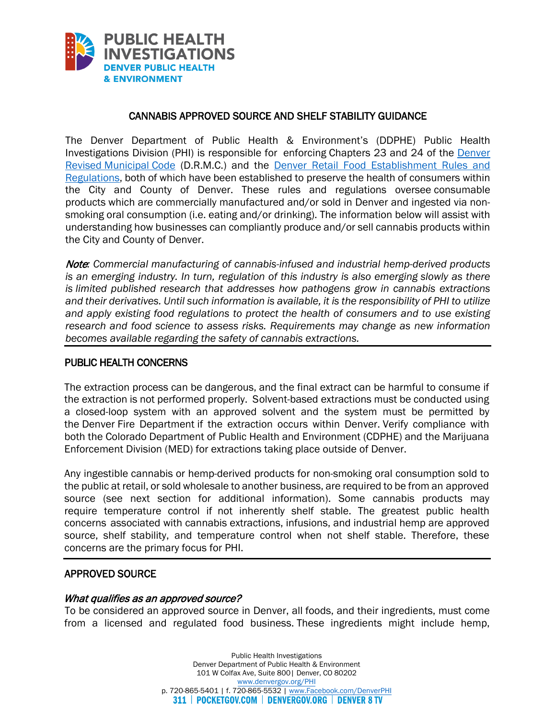

#### CANNABIS APPROVED SOURCE AND SHELF STABILITY GUIDANCE

Investigations Division (PHI) is responsible for enforcing Chapters 23 and 24 of the *Denver* [Revised Municipal Code](https://library.municode.com/co/denver/codes/code_of_ordinances) (D.R.M.C.) and the Denver Retail Food Establishment Rules and The Denver Department of Public Health & Environment's (DDPHE) Public Health [Regulations,](https://www.denvergov.org/content/dam/denvergov/Portals/771/documents/PHI/Food/RevisedFoodRulesandregulationsApril2017compressed.pdf) both of which have been established to preserve the health of consumers within the City and County of Denver. These rules and regulations oversee consumable products which are commercially manufactured and/or sold in Denver and ingested via nonsmoking oral consumption (i.e. eating and/or drinking). The information below will assist with understanding how businesses can compliantly produce and/or sell cannabis products within the City and County of Denver.

Note*: Commercial manufacturing of cannabis-infused and industrial hemp-derived products is an emerging industry. In turn, regulation of this industry is also emerging slowly as there is limited published research that addresses how pathogens grow in cannabis extractions and their derivatives. Until such information is available, it is the responsibility of PHI to utilize and apply existing food regulations to protect the health of consumers and to use existing research and food science to assess risks. Requirements may change as new information becomes available regarding the safety of cannabis extractions.* 

#### PUBLIC HEALTH CONCERNS

 the extraction is not performed properly. Solvent-based extractions must be conducted using The extraction process can be dangerous, and the final extract can be harmful to consume if a closed-loop system with an approved solvent and the system must be permitted by the Denver Fire Department if the extraction occurs within Denver. Verify compliance with both the Colorado Department of Public Health and Environment (CDPHE) and the Marijuana Enforcement Division (MED) for extractions taking place outside of Denver.

Any ingestible cannabis or hemp-derived products for non-smoking oral consumption sold to the public at retail, or sold wholesale to another business, are required to be from an approved source (see next section for additional information). Some cannabis products may require temperature control if not inherently shelf stable. The greatest public health concerns associated with cannabis extractions, infusions, and industrial hemp are approved source, shelf stability, and temperature control when not shelf stable. Therefore, these concerns are the primary focus for PHI.

#### APPROVED SOURCE

#### What qualifies as an approved source?

To be considered an approved source in Denver, all foods, and their ingredients, must come from a licensed and regulated food business. These ingredients might include hemp,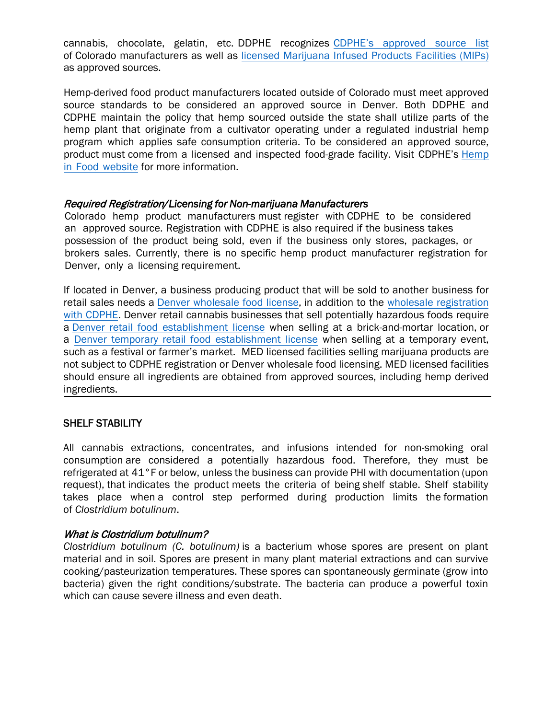cannabis, chocolate, gelatin, etc. DDPHE recognizes [CDPHE's approved source list](https://cdphe.colorado.gov/hemp-food) of Colorado manufacturers as well a[s licensed Marijuana Infused Products Facilities \(MIPs\)](https://sbg.colorado.gov/med-licensed-facilities) as approved sources.

 source standards to be considered an approved source in Denver. Both DDPHE and program which applies safe consumption criteria. To be considered an approved source, Hemp-derived food product manufacturers located outside of Colorado must meet approved CDPHE maintain the policy that hemp sourced outside the state shall utilize parts of the hemp plant that originate from a cultivator operating under a regulated industrial hemp [product must come from a licensed and inspected food-grade facility. Visit CDPHE's Hemp](https://cdphe.colorado.gov/hemp-food) in Food website for more information.

#### Required Registration*/Licensing for Non-marijuana Manufacturers*

Colorado hemp product manufacturers must register with CDPHE to be considered an approved source. Registration with CDPHE is also required if the business takes possession of the product being sold, even if the business only stores, packages, or brokers sales. Currently, there is no specific hemp product manufacturer registration for Denver, only a licensing requirement.

 If located in Denver, a business producing product that will be sold to another business for retail sales needs a *Denver wholesale food license*, in addition to the wholesale registration [with CDPHE. Denver retail cannabis businesses that sell potentially hazardous foods require](https://cdphe.colorado.gov/food-manufacturing-and-storage) [a Denver ret](https://drive.google.com/file/d/11aOAF-EFXamVgEd4EdIAvGtAhoFOIWEC/view)[ail food establishment license](https://www.denvergov.org/Government/Departments/Business-Licensing/Business-Licenses/Retail-Food-Establishment?BestBetMatch=retail%20food%20license|95c94ae0-247e-4b0c-b511-f9439cc122bd|c4f1b630-3cf4-4ec1-8110-c4784b6aa32e|en-US) when selling at a brick-[and-mortar location, or](https://drive.google.com/file/d/11aOAF-EFXamVgEd4EdIAvGtAhoFOIWEC/view)  [a Denver temporary retail food establishment license](https://www.denvergov.org/Government/Departments/Business-Licensing/Business-Licenses/Restaurant-Temporary?BestBetMatch=restaurant%20temporary%20license|95c94ae0-247e-4b0c-b511-f9439cc122bd|c4f1b630-3cf4-4ec1-8110-c4784b6aa32e|en-US) when selling at a temporary event, such as a festival or farmer's market. MED licensed facilities selling marijuana products are not subject to CDPHE registration or Denver wholesale food licensing. MED licensed facilities should ensure all ingredients are obtained from approved sources, including hemp derived ingredients.

### SHELF STABILITY

 takes place when a control step performed during production limits the formation All cannabis extractions, concentrates, and infusions intended for non-smoking oral consumption are considered a potentially hazardous food. Therefore, they must be refrigerated at 41°F or below, unless the business can provide PHI with documentation (upon request), that indicates the product meets the criteria of being shelf stable. Shelf stability of *Clostridium botulinum*.

# What is Clostridium botulinum?

 which can cause severe illness and even death. *Clostridium botulinum (C. botulinum)* is a bacterium whose spores are present on plant material and in soil. Spores are present in many plant material extractions and can survive cooking/pasteurization temperatures. These spores can spontaneously germinate (grow into bacteria) given the right conditions/substrate. The bacteria can produce a powerful toxin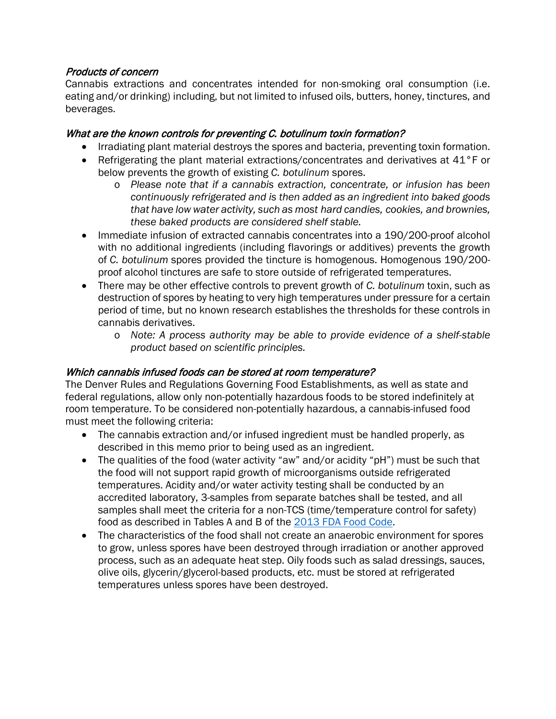### Products of concern

 eating and/or drinking) including, but not limited to infused oils, butters, honey, tinctures, and Cannabis extractions and concentrates intended for non-smoking oral consumption (i.e. beverages.

## What are the known controls for preventing C. botulinum toxin formation?

- Irradiating plant material destroys the spores and bacteria, preventing toxin formation.
- Refrigerating the plant material extractions/concentrates and derivatives at 41°F or below prevents the growth of existing *C. botulinum* spores.
	- *that have low water activity, such as most hard candies, cookies, and brownies,*  o *Please note that if a cannabis extraction, concentrate, or infusion has been continuously refrigerated and is then added as an ingredient into baked goods these baked products are considered shelf stable.*
- Immediate infusion of extracted cannabis concentrates into a 190/200-proof alcohol with no additional ingredients (including flavorings or additives) prevents the growth of *C. botulinum* spores provided the tincture is homogenous. Homogenous 190/200 proof alcohol tinctures are safe to store outside of refrigerated temperatures.
- There may be other effective controls to prevent growth of *C. botulinum* toxin, such as destruction of spores by heating to very high temperatures under pressure for a certain period of time, but no known research establishes the thresholds for these controls in cannabis derivatives.
	- o *Note: A process authority may be able to provide evidence of a shelf-stable product based on scientific principles.*

### Which cannabis infused foods can be stored at room temperature?

The Denver Rules and Regulations Governing Food Establishments, as well as state and federal regulations, allow only non-potentially hazardous foods to be stored indefinitely at room temperature. To be considered non-potentially hazardous, a cannabis-infused food must meet the following criteria:

- The cannabis extraction and/or infused ingredient must be handled properly, as described in this memo prior to being used as an ingredient.
- • The qualities of the food (water activity "aw" and/or acidity "pH") must be such that the food will not support rapid growth of microorganisms outside refrigerated temperatures. Acidity and/or water activity testing shall be conducted by an accredited laboratory, 3-samples from separate batches shall be tested, and all samples shall meet the criteria for a non-TCS (time/temperature control for safety) food as described in Tables A and B of the [2013 FDA Food Code.](https://www.fda.gov/media/87140/download)
- The characteristics of the food shall not create an anaerobic environment for spores to grow, unless spores have been destroyed through irradiation or another approved process, such as an adequate heat step. Oily foods such as salad dressings, sauces, olive oils, glycerin/glycerol-based products, etc. must be stored at refrigerated temperatures unless spores have been destroyed.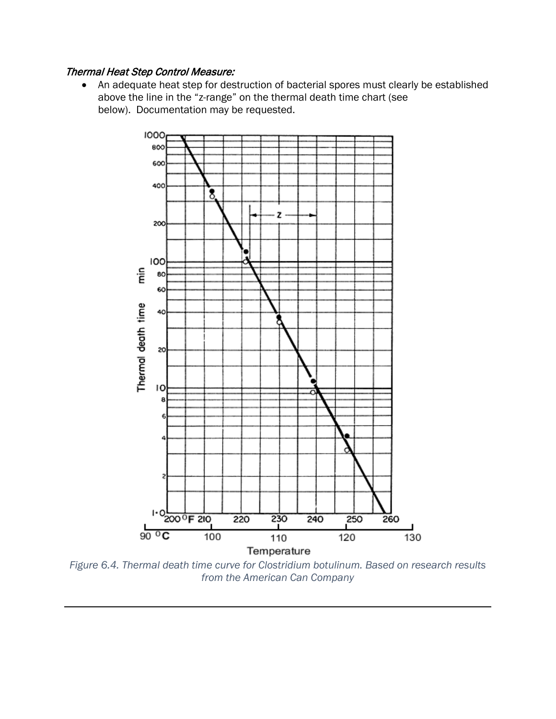## Thermal Heat Step Control Measure:

 below). Documentation may be requested. • An adequate heat step for destruction of bacterial spores must clearly be established above the line in the "z-range" on the thermal death time chart (see



 *from the American Can Company Figure 6.4. Thermal death time curve for Clostridium botulinum. Based on research results*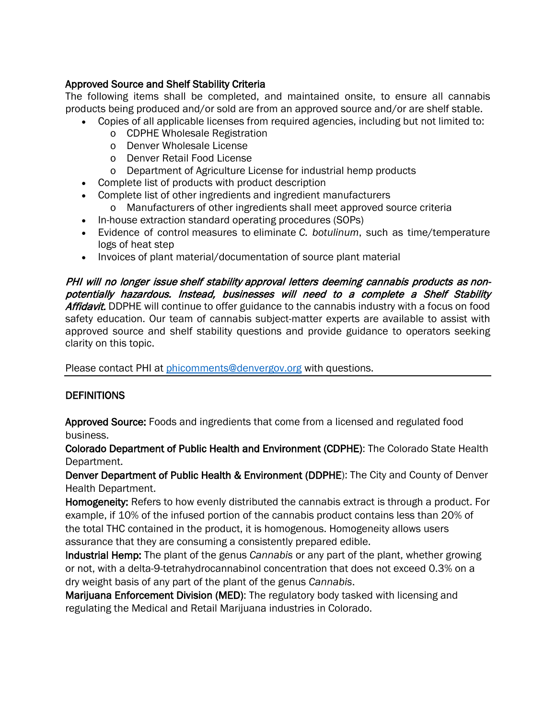## Approved Source and Shelf Stability Criteria

 products being produced and/or sold are from an approved source and/or are shelf stable. The following items shall be completed, and maintained onsite, to ensure all cannabis

- Copies of all applicable licenses from required agencies, including but not limited to:<br>
o CDPHE Wholesale Registration<br>
o Denver Wholesale License<br>
o Denver Retail Food License<br>
o Department of Agriculture License for i
	- o CDPHE Wholesale Registration
	- o Denver Wholesale License
	- o Denver Retail Food License
	- o Department of Agriculture License for industrial hemp products
- Complete list of products with product description
- Complete list of other ingredients and ingredient manufacturers
	- o Manufacturers of other ingredients shall meet approved source criteria
- In-house extraction standard operating procedures (SOPs)
- • Evidence of control measures to eliminate *C. botulinum*, such as time/temperature logs of heat step
- Invoices of plant material/documentation of source plant material

Affidavit. DDPHE will continue to offer guidance to the cannabis industry with a focus on food clarity on this topic. PHI will no longer issue shelf stability approval letters deeming cannabis products as nonpotentially hazardous. Instead, businesses will need to a complete a Shelf Stability safety education. Our team of cannabis subject-matter experts are available to assist with approved source and shelf stability questions and provide guidance to operators seeking

Please contact PHI at [phicomments@denvergov.org](mailto:phicomments@denvergov.org) with questions.

## **DEFINITIONS**

Approved Source: Foods and ingredients that come from a licensed and regulated food business.

Colorado Department of Public Health and Environment (CDPHE): The Colorado State Health Department.

Denver Department of Public Health & Environment (DDPHE): The City and County of Denver Health Department.

Homogeneity: Refers to how evenly distributed the cannabis extract is through a product. For example, if 10% of the infused portion of the cannabis product contains less than 20% of the total THC contained in the product, it is homogenous. Homogeneity allows users assurance that they are consuming a consistently prepared edible.

 Industrial Hemp: The plant of the genus *Cannabis* or any part of the plant, whether growing dry weight basis of any part of the plant of the genus *Cannabis*. or not, with a delta-9-tetrahydrocannabinol concentration that does not exceed 0.3% on a

Marijuana Enforcement Division (MED): The regulatory body tasked with licensing and regulating the Medical and Retail Marijuana industries in Colorado.